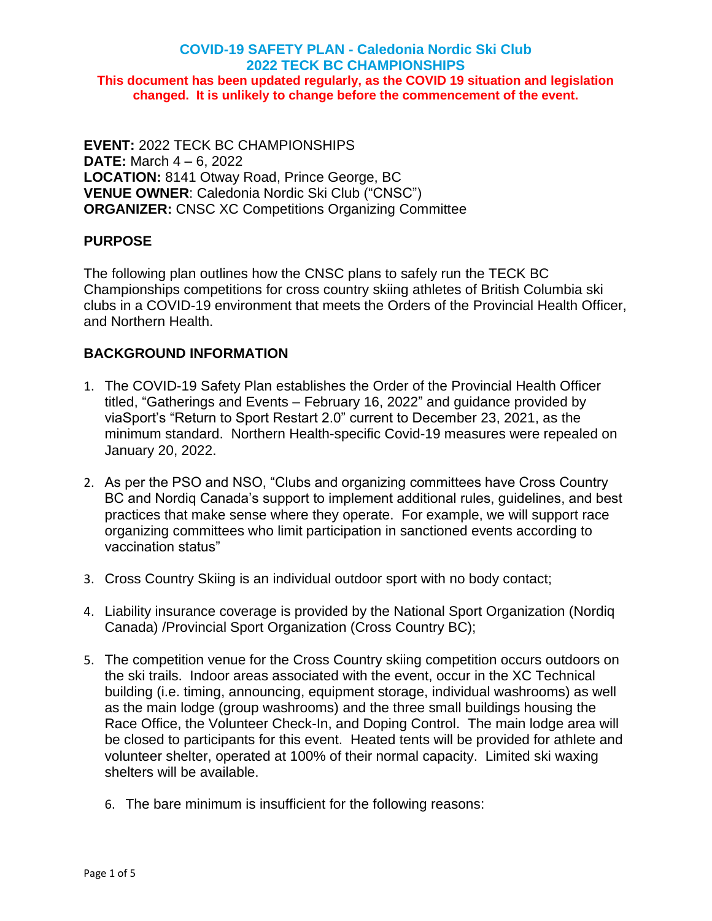# **COVID-19 SAFETY PLAN - Caledonia Nordic Ski Club 2022 TECK BC CHAMPIONSHIPS This document has been updated regularly, as the COVID 19 situation and legislation changed. It is unlikely to change before the commencement of the event.**

**EVENT:** 2022 TECK BC CHAMPIONSHIPS **DATE:** March 4 – 6, 2022 **LOCATION:** 8141 Otway Road, Prince George, BC **VENUE OWNER**: Caledonia Nordic Ski Club ("CNSC") **ORGANIZER:** CNSC XC Competitions Organizing Committee

#### **PURPOSE**

The following plan outlines how the CNSC plans to safely run the TECK BC Championships competitions for cross country skiing athletes of British Columbia ski clubs in a COVID-19 environment that meets the Orders of the Provincial Health Officer, and Northern Health.

#### **BACKGROUND INFORMATION**

- 1. The COVID-19 Safety Plan establishes the Order of the Provincial Health Officer titled, "Gatherings and Events – February 16, 2022" and guidance provided by viaSport's "Return to Sport Restart 2.0" current to December 23, 2021, as the minimum standard. Northern Health-specific Covid-19 measures were repealed on January 20, 2022.
- 2. As per the PSO and NSO, "Clubs and organizing committees have Cross Country BC and Nordiq Canada's support to implement additional rules, guidelines, and best practices that make sense where they operate. For example, we will support race organizing committees who limit participation in sanctioned events according to vaccination status"
- 3. Cross Country Skiing is an individual outdoor sport with no body contact;
- 4. Liability insurance coverage is provided by the National Sport Organization (Nordiq Canada) /Provincial Sport Organization (Cross Country BC);
- 5. The competition venue for the Cross Country skiing competition occurs outdoors on the ski trails. Indoor areas associated with the event, occur in the XC Technical building (i.e. timing, announcing, equipment storage, individual washrooms) as well as the main lodge (group washrooms) and the three small buildings housing the Race Office, the Volunteer Check-In, and Doping Control. The main lodge area will be closed to participants for this event. Heated tents will be provided for athlete and volunteer shelter, operated at 100% of their normal capacity. Limited ski waxing shelters will be available.
	- 6. The bare minimum is insufficient for the following reasons: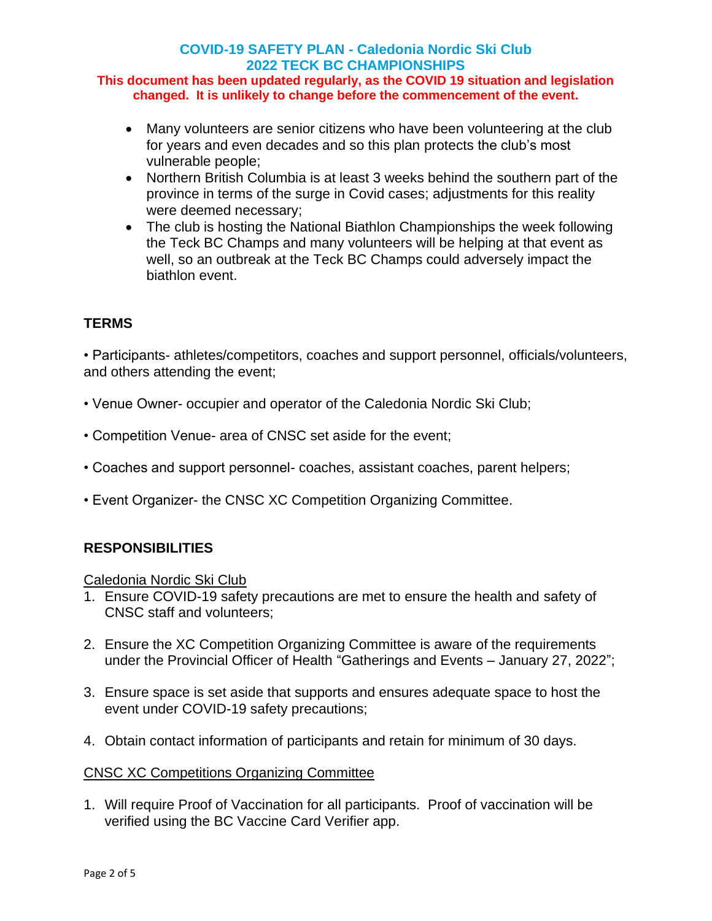## **COVID-19 SAFETY PLAN - Caledonia Nordic Ski Club 2022 TECK BC CHAMPIONSHIPS**

#### **This document has been updated regularly, as the COVID 19 situation and legislation changed. It is unlikely to change before the commencement of the event.**

- Many volunteers are senior citizens who have been volunteering at the club for years and even decades and so this plan protects the club's most vulnerable people;
- Northern British Columbia is at least 3 weeks behind the southern part of the province in terms of the surge in Covid cases; adjustments for this reality were deemed necessary;
- The club is hosting the National Biathlon Championships the week following the Teck BC Champs and many volunteers will be helping at that event as well, so an outbreak at the Teck BC Champs could adversely impact the biathlon event.

## **TERMS**

• Participants- athletes/competitors, coaches and support personnel, officials/volunteers, and others attending the event;

- Venue Owner- occupier and operator of the Caledonia Nordic Ski Club;
- Competition Venue- area of CNSC set aside for the event;
- Coaches and support personnel- coaches, assistant coaches, parent helpers;
- Event Organizer- the CNSC XC Competition Organizing Committee.

#### **RESPONSIBILITIES**

#### Caledonia Nordic Ski Club

- 1. Ensure COVID-19 safety precautions are met to ensure the health and safety of CNSC staff and volunteers;
- 2. Ensure the XC Competition Organizing Committee is aware of the requirements under the Provincial Officer of Health "Gatherings and Events – January 27, 2022";
- 3. Ensure space is set aside that supports and ensures adequate space to host the event under COVID-19 safety precautions;
- 4. Obtain contact information of participants and retain for minimum of 30 days.

#### CNSC XC Competitions Organizing Committee

1. Will require Proof of Vaccination for all participants. Proof of vaccination will be verified using the BC Vaccine Card Verifier app.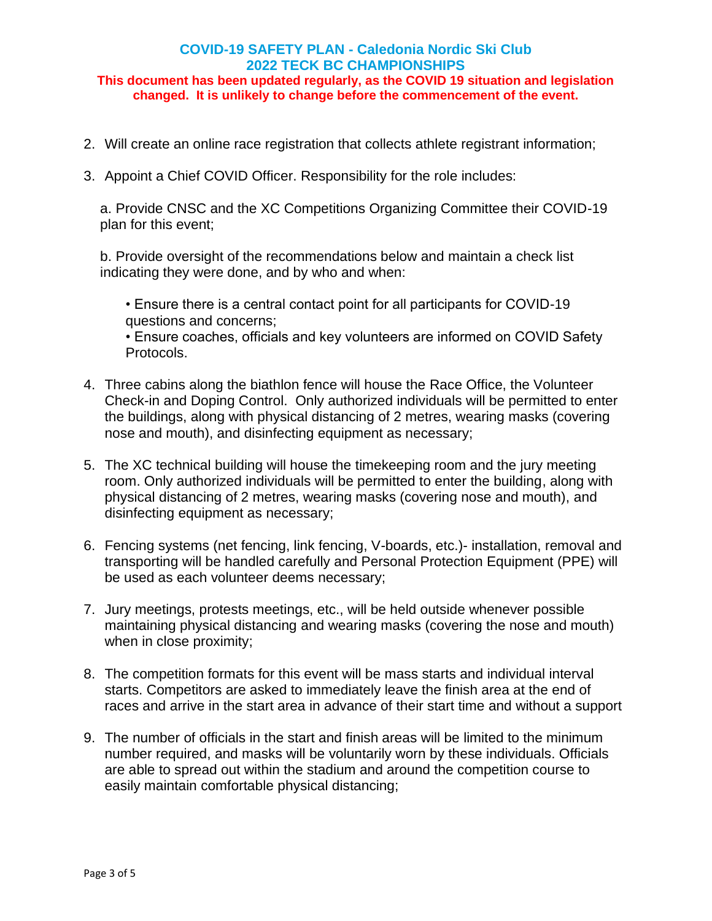# **COVID-19 SAFETY PLAN - Caledonia Nordic Ski Club 2022 TECK BC CHAMPIONSHIPS**

#### **This document has been updated regularly, as the COVID 19 situation and legislation changed. It is unlikely to change before the commencement of the event.**

- 2. Will create an online race registration that collects athlete registrant information;
- 3. Appoint a Chief COVID Officer. Responsibility for the role includes:

a. Provide CNSC and the XC Competitions Organizing Committee their COVID-19 plan for this event;

b. Provide oversight of the recommendations below and maintain a check list indicating they were done, and by who and when:

• Ensure there is a central contact point for all participants for COVID-19 questions and concerns;

• Ensure coaches, officials and key volunteers are informed on COVID Safety Protocols.

- 4. Three cabins along the biathlon fence will house the Race Office, the Volunteer Check-in and Doping Control. Only authorized individuals will be permitted to enter the buildings, along with physical distancing of 2 metres, wearing masks (covering nose and mouth), and disinfecting equipment as necessary;
- 5. The XC technical building will house the timekeeping room and the jury meeting room. Only authorized individuals will be permitted to enter the building, along with physical distancing of 2 metres, wearing masks (covering nose and mouth), and disinfecting equipment as necessary;
- 6. Fencing systems (net fencing, link fencing, V-boards, etc.)- installation, removal and transporting will be handled carefully and Personal Protection Equipment (PPE) will be used as each volunteer deems necessary;
- 7. Jury meetings, protests meetings, etc., will be held outside whenever possible maintaining physical distancing and wearing masks (covering the nose and mouth) when in close proximity;
- 8. The competition formats for this event will be mass starts and individual interval starts. Competitors are asked to immediately leave the finish area at the end of races and arrive in the start area in advance of their start time and without a support
- 9. The number of officials in the start and finish areas will be limited to the minimum number required, and masks will be voluntarily worn by these individuals. Officials are able to spread out within the stadium and around the competition course to easily maintain comfortable physical distancing;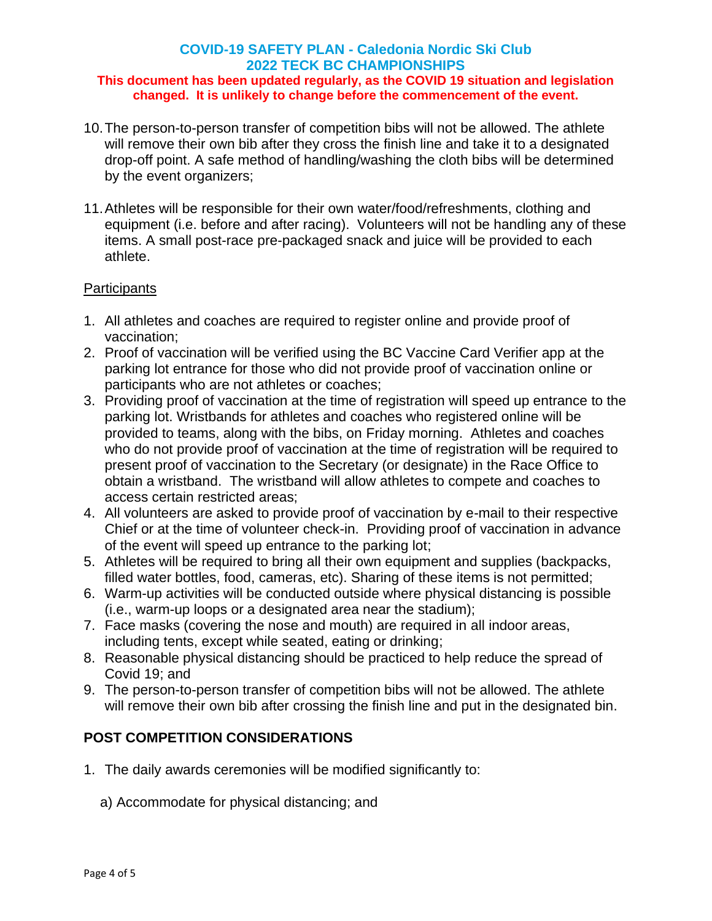#### **COVID-19 SAFETY PLAN - Caledonia Nordic Ski Club 2022 TECK BC CHAMPIONSHIPS This document has been updated regularly, as the COVID 19 situation and legislation changed. It is unlikely to change before the commencement of the event.**

- 10.The person-to-person transfer of competition bibs will not be allowed. The athlete will remove their own bib after they cross the finish line and take it to a designated drop-off point. A safe method of handling/washing the cloth bibs will be determined by the event organizers;
- 11.Athletes will be responsible for their own water/food/refreshments, clothing and equipment (i.e. before and after racing). Volunteers will not be handling any of these items. A small post-race pre-packaged snack and juice will be provided to each athlete.

#### **Participants**

- 1. All athletes and coaches are required to register online and provide proof of vaccination;
- 2. Proof of vaccination will be verified using the BC Vaccine Card Verifier app at the parking lot entrance for those who did not provide proof of vaccination online or participants who are not athletes or coaches;
- 3. Providing proof of vaccination at the time of registration will speed up entrance to the parking lot. Wristbands for athletes and coaches who registered online will be provided to teams, along with the bibs, on Friday morning. Athletes and coaches who do not provide proof of vaccination at the time of registration will be required to present proof of vaccination to the Secretary (or designate) in the Race Office to obtain a wristband. The wristband will allow athletes to compete and coaches to access certain restricted areas;
- 4. All volunteers are asked to provide proof of vaccination by e-mail to their respective Chief or at the time of volunteer check-in. Providing proof of vaccination in advance of the event will speed up entrance to the parking lot;
- 5. Athletes will be required to bring all their own equipment and supplies (backpacks, filled water bottles, food, cameras, etc). Sharing of these items is not permitted;
- 6. Warm-up activities will be conducted outside where physical distancing is possible (i.e., warm-up loops or a designated area near the stadium);
- 7. Face masks (covering the nose and mouth) are required in all indoor areas, including tents, except while seated, eating or drinking;
- 8. Reasonable physical distancing should be practiced to help reduce the spread of Covid 19; and
- 9. The person-to-person transfer of competition bibs will not be allowed. The athlete will remove their own bib after crossing the finish line and put in the designated bin.

# **POST COMPETITION CONSIDERATIONS**

- 1. The daily awards ceremonies will be modified significantly to:
	- a) Accommodate for physical distancing; and